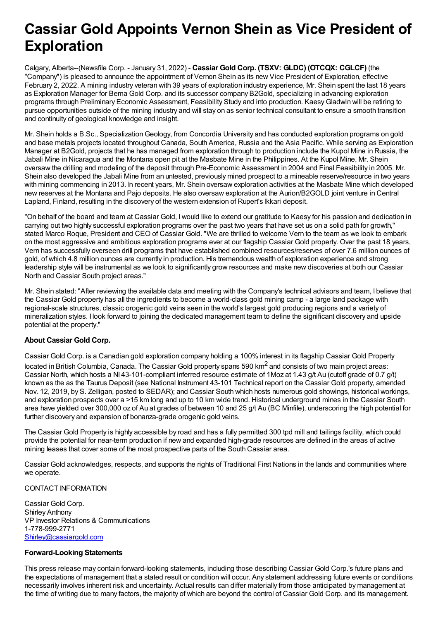## **Cassiar Gold Appoints Vernon Shein as Vice President of Exploration**

Calgary, Alberta--(Newsfile Corp. - January 31, 2022) - **Cassiar Gold Corp. (TSXV: GLDC) (OTCQX: CGLCF)** (the "Company") is pleased to announce the appointment of Vernon Shein as its new Vice President of Exploration, effective February 2, 2022. A mining industry veteran with 39 years of exploration industry experience, Mr. Shein spent the last 18 years as Exploration Manager for Bema Gold Corp. and its successor company B2Gold, specializing in advancing exploration programs through Preliminary Economic Assessment, Feasibility Study and into production. KaesyGladwin will be retiring to pursue opportunities outside of the mining industry and will stay on as senior technical consultant to ensure a smooth transition and continuity of geological knowledge and insight.

Mr. Shein holds a B.Sc., Specialization Geology, from Concordia University and has conducted exploration programs on gold and base metals projects located throughout Canada, South America, Russia and the Asia Pacific. While serving as Exploration Manager at B2Gold, projects that he has managed from exploration through to production include the Kupol Mine in Russia, the Jabali Mine in Nicaragua and the Montana open pit at the Masbate Mine in the Philippines. At the Kupol Mine, Mr. Shein oversaw the drilling and modeling of the deposit through Pre-Economic Assessment in 2004 and Final Feasibility in 2005. Mr. Shein also developed the Jabali Mine from an untested, previously mined prospect to a mineable reserve/resource in two years with mining commencing in 2013. In recent years, Mr. Shein oversaw exploration activities at the Masbate Mine which developed new reserves at the Montana and Pajo deposits. He also oversaw exploration at the Aurion/B2GOLD joint venture in Central Lapland, Finland, resulting in the discovery of the western extension of Rupert's Ikkari deposit.

"On behalf of the board and team at Cassiar Gold, Iwould like to extend our gratitude to Kaesy for his passion and dedication in carrying out two highly successful exploration programs over the past two years that have set us on a solid path for growth," stated Marco Roque, President and CEO of Cassiar Gold. "We are thrilled to welcome Vern to the team as we look to embark on the most aggressive and ambitious exploration programs ever at our flagship Cassiar Gold property. Over the past 18 years, Vern has successfully overseen drill programs that have established combined resources/reserves of over 7.6 million ounces of gold, of which 4.8 million ounces are currently in production. His tremendous wealth of exploration experience and strong leadership style will be instrumental as we look to significantly grow resources and make new discoveries at both our Cassiar North and Cassiar South project areas."

Mr. Shein stated: "After reviewing the available data and meeting with the Company's technical advisors and team, I believe that the Cassiar Gold property has all the ingredients to become a world-class gold mining camp - a large land package with regional-scale structures, classic orogenic gold veins seen in the world's largest gold producing regions and a variety of mineralization styles. I look forward to joining the dedicated management team to define the significant discovery and upside potential at the property."

## **About Cassiar Gold Corp.**

Cassiar Gold Corp. is a Canadian gold exploration company holding a 100% interest in its flagship Cassiar Gold Property located in British Columbia, Canada. The Cassiar Gold property spans 590 km<sup>2</sup> and consists of two main project areas: Cassiar North, which hosts a NI 43-101-compliant inferred resource estimate of 1Moz at 1.43 g/t Au (cutoff grade of 0.7 g/t) known as the as the Taurus Deposit (see National Instrument 43-101 Technical report on the Cassiar Gold property, amended Nov. 12, 2019, by S. Zelligan, posted to SEDAR); and Cassiar South which hosts numerous gold showings, historical workings, and exploration prospects over a >15 km long and up to 10 km wide trend. Historical underground mines in the Cassiar South area have yielded over 300,000 oz of Au at grades of between 10 and 25 g/t Au (BC Minfile), underscoring the high potential for further discovery and expansion of bonanza-grade orogenic gold veins.

The Cassiar Gold Property is highly accessible by road and has a fully permitted 300 tpd mill and tailings facility, which could provide the potential for near-term production if new and expanded high-grade resources are defined in the areas of active mining leases that cover some of the most prospective parts of the South Cassiar area.

Cassiar Gold acknowledges, respects, and supports the rights of Traditional First Nations in the lands and communities where we operate.

## CONTACT INFORMATION

Cassiar Gold Corp. Shirley Anthony VP Investor Relations & Communications 1-778-999-2771 [Shirley@cassiargold.com](mailto:Shirley@cassiargold.com)

## **Forward-Looking Statements**

This press release may contain forward-looking statements, including those describing Cassiar Gold Corp.'s future plans and the expectations of management that a stated result or condition will occur. Any statement addressing future events or conditions necessarily involves inherent risk and uncertainty. Actual results can differ materially from those anticipated by management at the time of writing due to many factors, the majority of which are beyond the control of Cassiar Gold Corp. and its management.